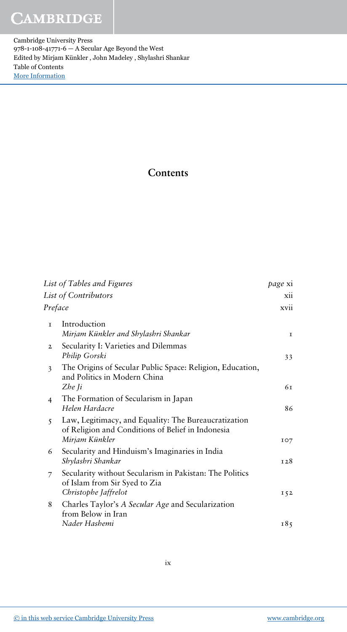## **CAMBRIDGE**

Cambridge University Press 978-1-108-41771-6 — A Secular Age Beyond the West Edited by Mirjam Künkler , John Madeley , Shylashri Shankar Table of Contents [More Information](www.cambridge.org/9781108417716)

## Contents

|                      | List of Tables and Figures                                                                                                  | <i>page</i> xi |
|----------------------|-----------------------------------------------------------------------------------------------------------------------------|----------------|
| List of Contributors |                                                                                                                             | xii            |
| Preface              |                                                                                                                             | xvii           |
| T.                   | Introduction<br>Mirjam Künkler and Shylashri Shankar                                                                        | $\mathbf I$    |
| $\mathbf{2}$         | Secularity I: Varieties and Dilemmas<br>Philip Gorski                                                                       | 33             |
| 3                    | The Origins of Secular Public Space: Religion, Education,<br>and Politics in Modern China<br>Zhe Ji                         | 6т             |
| $\overline{4}$       | The Formation of Secularism in Japan<br>Helen Hardacre                                                                      | 86             |
| $\overline{5}$       | Law, Legitimacy, and Equality: The Bureaucratization<br>of Religion and Conditions of Belief in Indonesia<br>Mirjam Künkler | IO7            |
| 6                    | Secularity and Hinduism's Imaginaries in India<br>Shylashri Shankar                                                         | T28            |
| 7                    | Secularity without Secularism in Pakistan: The Politics<br>of Islam from Sir Syed to Zia<br>Christophe Jaffrelot            | 152            |
| 8                    | Charles Taylor's A Secular Age and Secularization<br>from Below in Iran<br>Nader Hashemi                                    | 185            |
|                      |                                                                                                                             |                |